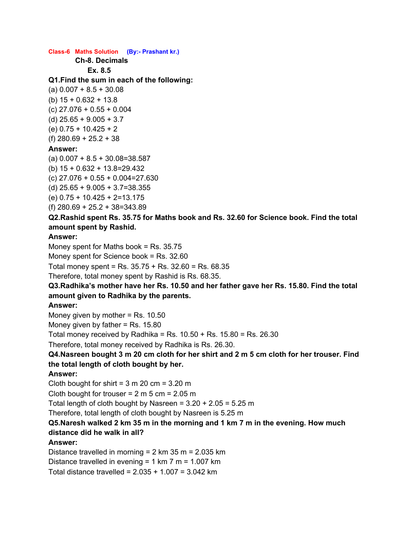#### **Class-6 Maths Solution (By:- Prashant kr.)**

**Ch-8. Decimals**

**Ex. 8.5**

#### **Q1.Find the sum in each of the following:**

 $(a)$  0.007 + 8.5 + 30.08 (b) 15 + 0.632 + 13.8 (c) 27.076 + 0.55 + 0.004  $(d)$  25.65 + 9.005 + 3.7 (e) 0.75 + 10.425 + 2 (f) 280.69 + 25.2 + 38 **Answer:**

(a) 0.007 + 8.5 + 30.08=38.587 (b) 15 + 0.632 + 13.8=29.432 (c) 27.076 + 0.55 + 0.004=27.630 (d) 25.65 + 9.005 + 3.7=38.355 (e) 0.75 + 10.425 + 2=13.175 (f) 280.69 + 25.2 + 38=343.89

## **Q2.Rashid spent Rs. 35.75 for Maths book and Rs. 32.60 for Science book. Find the total amount spent by Rashid.**

#### **Answer:**

Money spent for Maths book = Rs. 35.75 Money spent for Science book = Rs. 32.60

Total money spent = Rs. 35.75 + Rs. 32.60 = Rs. 68.35

Therefore, total money spent by Rashid is Rs. 68.35.

## **Q3.Radhika's mother have her Rs. 10.50 and her father gave her Rs. 15.80. Find the total amount given to Radhika by the parents.**

## **Answer:**

Money given by mother = Rs. 10.50

Money given by father  $=$  Rs. 15.80

Total money received by Radhika = Rs.  $10.50 +$  Rs.  $15.80 =$  Rs.  $26.30$ 

Therefore, total money received by Radhika is Rs. 26.30.

## Q4.Nasreen bought 3 m 20 cm cloth for her shirt and 2 m 5 cm cloth for her trouser. Find **the total length of cloth bought by her.**

## **Answer:**

Cloth bought for shirt =  $3 \text{ m } 20 \text{ cm } = 3.20 \text{ m}$ 

Cloth bought for trouser =  $2 \text{ m } 5 \text{ cm } = 2.05 \text{ m}$ 

Total length of cloth bought by Nasreen =  $3.20 + 2.05 = 5.25$  m

Therefore, total length of cloth bought by Nasreen is 5.25 m

# **Q5.Naresh walked 2 km 35 m in the morning and 1 km 7 m in the evening. How much**

# **distance did he walk in all?**

## **Answer:**

Distance travelled in morning  $= 2$  km 35 m  $= 2.035$  km Distance travelled in evening = 1 km 7 m = 1.007 km

Total distance travelled = 2.035 + 1.007 = 3.042 km